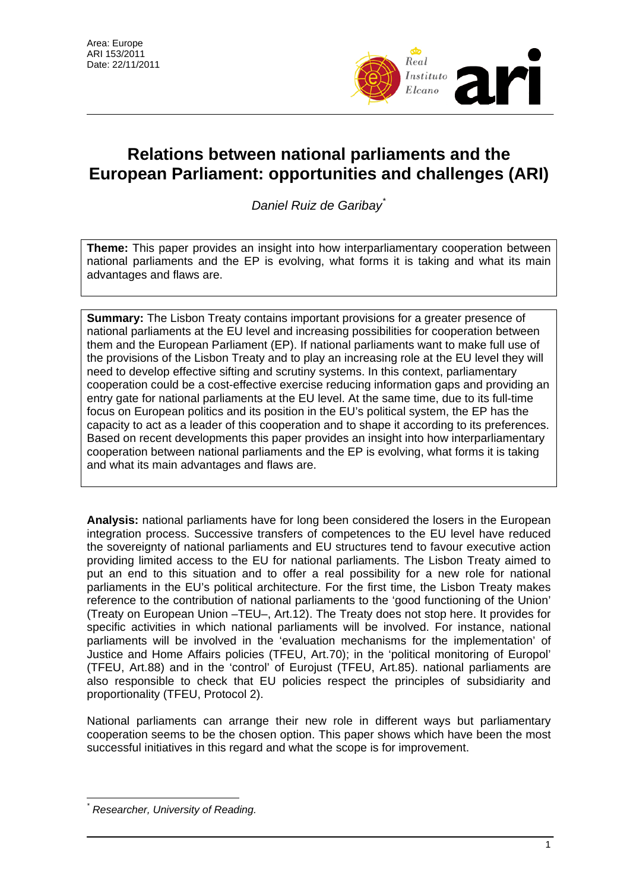

# **Relations between national parliaments and the European Parliament: opportunities and challenges (ARI)**

*Daniel Ruiz de Garibay*[\\*](#page-0-0)

**Theme:** This paper provides an insight into how interparliamentary cooperation between national parliaments and the EP is evolving, what forms it is taking and what its main advantages and flaws are.

**Summary:** The Lisbon Treaty contains important provisions for a greater presence of national parliaments at the EU level and increasing possibilities for cooperation between them and the European Parliament (EP). If national parliaments want to make full use of the provisions of the Lisbon Treaty and to play an increasing role at the EU level they will need to develop effective sifting and scrutiny systems. In this context, parliamentary cooperation could be a cost-effective exercise reducing information gaps and providing an entry gate for national parliaments at the EU level. At the same time, due to its full-time focus on European politics and its position in the EU's political system, the EP has the capacity to act as a leader of this cooperation and to shape it according to its preferences. Based on recent developments this paper provides an insight into how interparliamentary cooperation between national parliaments and the EP is evolving, what forms it is taking and what its main advantages and flaws are.

**Analysis:** national parliaments have for long been considered the losers in the European integration process. Successive transfers of competences to the EU level have reduced the sovereignty of national parliaments and EU structures tend to favour executive action providing limited access to the EU for national parliaments. The Lisbon Treaty aimed to put an end to this situation and to offer a real possibility for a new role for national parliaments in the EU's political architecture. For the first time, the Lisbon Treaty makes reference to the contribution of national parliaments to the 'good functioning of the Union' (Treaty on European Union –TEU–, Art.12). The Treaty does not stop here. It provides for specific activities in which national parliaments will be involved. For instance, national parliaments will be involved in the 'evaluation mechanisms for the implementation' of Justice and Home Affairs policies (TFEU, Art.70); in the 'political monitoring of Europol' (TFEU, Art.88) and in the 'control' of Eurojust (TFEU, Art.85). national parliaments are also responsible to check that EU policies respect the principles of subsidiarity and proportionality (TFEU, Protocol 2).

National parliaments can arrange their new role in different ways but parliamentary cooperation seems to be the chosen option. This paper shows which have been the most successful initiatives in this regard and what the scope is for improvement.

<span id="page-0-0"></span> $\overline{a}$ *\* Researcher, University of Reading.*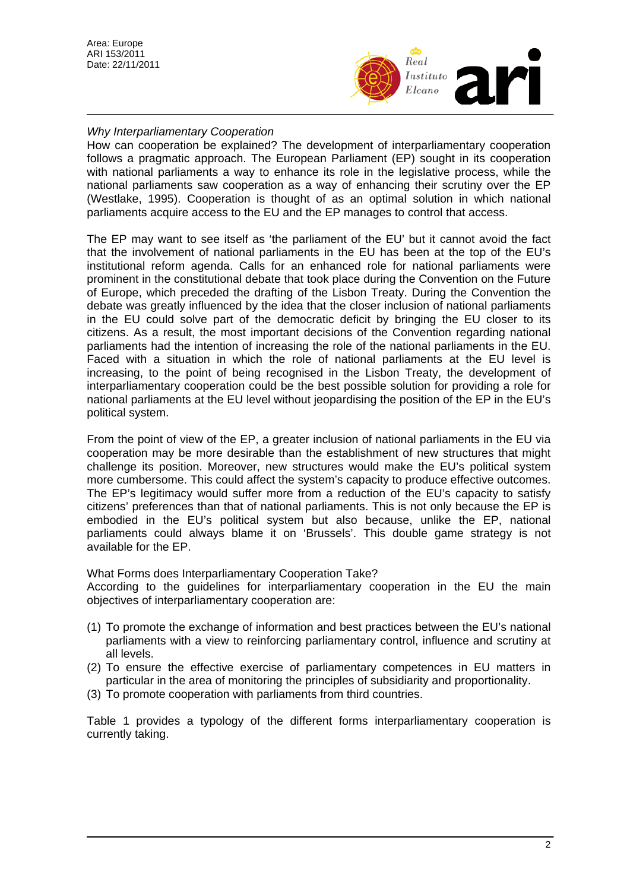

# *Why Interparliamentary Cooperation*

How can cooperation be explained? The development of interparliamentary cooperation follows a pragmatic approach. The European Parliament (EP) sought in its cooperation with national parliaments a way to enhance its role in the legislative process, while the national parliaments saw cooperation as a way of enhancing their scrutiny over the EP (Westlake, 1995). Cooperation is thought of as an optimal solution in which national parliaments acquire access to the EU and the EP manages to control that access.

The EP may want to see itself as 'the parliament of the EU' but it cannot avoid the fact that the involvement of national parliaments in the EU has been at the top of the EU's institutional reform agenda. Calls for an enhanced role for national parliaments were prominent in the constitutional debate that took place during the Convention on the Future of Europe, which preceded the drafting of the Lisbon Treaty. During the Convention the debate was greatly influenced by the idea that the closer inclusion of national parliaments in the EU could solve part of the democratic deficit by bringing the EU closer to its citizens. As a result, the most important decisions of the Convention regarding national parliaments had the intention of increasing the role of the national parliaments in the EU. Faced with a situation in which the role of national parliaments at the EU level is increasing, to the point of being recognised in the Lisbon Treaty, the development of interparliamentary cooperation could be the best possible solution for providing a role for national parliaments at the EU level without jeopardising the position of the EP in the EU's political system.

From the point of view of the EP, a greater inclusion of national parliaments in the EU via cooperation may be more desirable than the establishment of new structures that might challenge its position. Moreover, new structures would make the EU's political system more cumbersome. This could affect the system's capacity to produce effective outcomes. The EP's legitimacy would suffer more from a reduction of the EU's capacity to satisfy citizens' preferences than that of national parliaments. This is not only because the EP is embodied in the EU's political system but also because, unlike the EP, national parliaments could always blame it on 'Brussels'. This double game strategy is not available for the EP.

What Forms does Interparliamentary Cooperation Take?

According to the guidelines for interparliamentary cooperation in the EU the main objectives of interparliamentary cooperation are:

- (1) To promote the exchange of information and best practices between the EU's national parliaments with a view to reinforcing parliamentary control, influence and scrutiny at all levels.
- (2) To ensure the effective exercise of parliamentary competences in EU matters in particular in the area of monitoring the principles of subsidiarity and proportionality.
- (3) To promote cooperation with parliaments from third countries.

Table 1 provides a typology of the different forms interparliamentary cooperation is currently taking.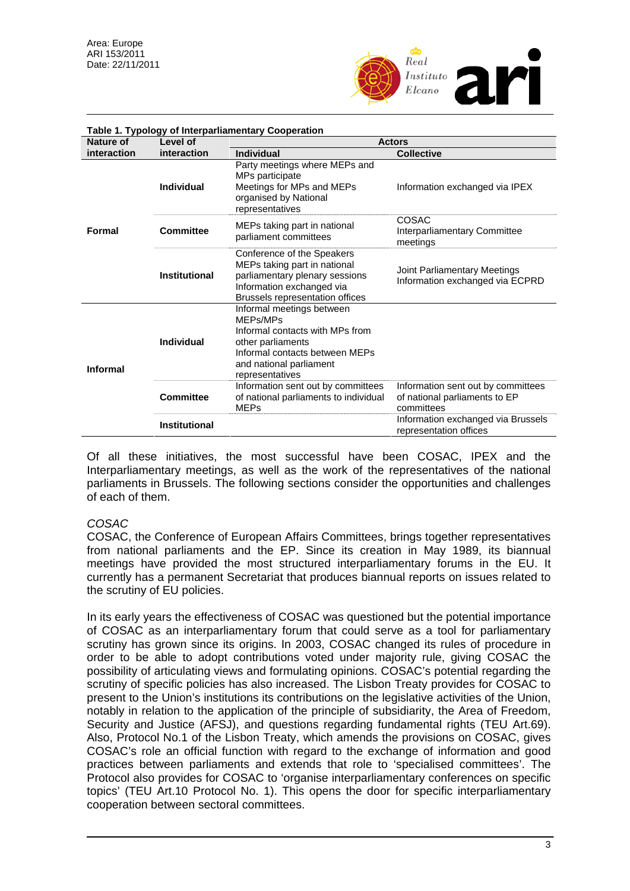

|                 | Table 1. Typology of Interparliamentary Cooperation |                                                                                                                                                                               |                                                                                   |  |  |  |  |  |
|-----------------|-----------------------------------------------------|-------------------------------------------------------------------------------------------------------------------------------------------------------------------------------|-----------------------------------------------------------------------------------|--|--|--|--|--|
| Nature of       | Level of                                            | <b>Actors</b>                                                                                                                                                                 |                                                                                   |  |  |  |  |  |
| interaction     | interaction                                         | <b>Individual</b>                                                                                                                                                             | <b>Collective</b>                                                                 |  |  |  |  |  |
|                 | <b>Individual</b>                                   | Party meetings where MEPs and<br>MPs participate<br>Meetings for MPs and MEPs<br>organised by National<br>representatives                                                     | Information exchanged via IPEX                                                    |  |  |  |  |  |
| <b>Formal</b>   | Committee                                           | MEPs taking part in national<br>parliament committees                                                                                                                         | COSAC<br>Interparliamentary Committee<br>meetings                                 |  |  |  |  |  |
|                 | <b>Institutional</b>                                | Conference of the Speakers<br>MEPs taking part in national<br>parliamentary plenary sessions<br>Information exchanged via<br>Brussels representation offices                  | Joint Parliamentary Meetings<br>Information exchanged via ECPRD                   |  |  |  |  |  |
| <b>Informal</b> | Individual                                          | Informal meetings between<br>MEPs/MPs<br>Informal contacts with MPs from<br>other parliaments<br>Informal contacts between MEPs<br>and national parliament<br>representatives |                                                                                   |  |  |  |  |  |
|                 | <b>Committee</b>                                    | Information sent out by committees<br>of national parliaments to individual<br><b>MEPs</b>                                                                                    | Information sent out by committees<br>of national parliaments to EP<br>committees |  |  |  |  |  |
|                 | <b>Institutional</b>                                |                                                                                                                                                                               | Information exchanged via Brussels<br>representation offices                      |  |  |  |  |  |

Of all these initiatives, the most successful have been COSAC, IPEX and the Interparliamentary meetings, as well as the work of the representatives of the national parliaments in Brussels. The following sections consider the opportunities and challenges of each of them.

## *COSAC*

COSAC, the Conference of European Affairs Committees, brings together representatives from national parliaments and the EP. Since its creation in May 1989, its biannual meetings have provided the most structured interparliamentary forums in the EU. It currently has a permanent Secretariat that produces biannual reports on issues related to the scrutiny of EU policies.

In its early years the effectiveness of COSAC was questioned but the potential importance of COSAC as an interparliamentary forum that could serve as a tool for parliamentary scrutiny has grown since its origins. In 2003, COSAC changed its rules of procedure in order to be able to adopt contributions voted under majority rule, giving COSAC the possibility of articulating views and formulating opinions. COSAC's potential regarding the scrutiny of specific policies has also increased. The Lisbon Treaty provides for COSAC to present to the Union's institutions its contributions on the legislative activities of the Union, notably in relation to the application of the principle of subsidiarity, the Area of Freedom, Security and Justice (AFSJ), and questions regarding fundamental rights (TEU Art.69). Also, Protocol No.1 of the Lisbon Treaty, which amends the provisions on COSAC, gives COSAC's role an official function with regard to the exchange of information and good practices between parliaments and extends that role to 'specialised committees'. The Protocol also provides for COSAC to 'organise interparliamentary conferences on specific topics' (TEU Art.10 Protocol No. 1). This opens the door for specific interparliamentary cooperation between sectoral committees.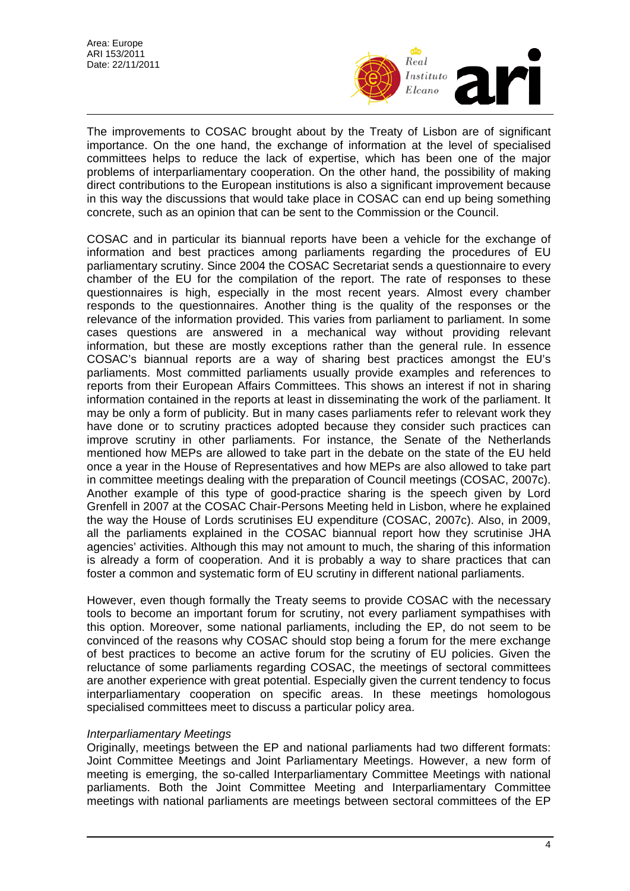

The improvements to COSAC brought about by the Treaty of Lisbon are of significant importance. On the one hand, the exchange of information at the level of specialised committees helps to reduce the lack of expertise, which has been one of the major problems of interparliamentary cooperation. On the other hand, the possibility of making direct contributions to the European institutions is also a significant improvement because in this way the discussions that would take place in COSAC can end up being something concrete, such as an opinion that can be sent to the Commission or the Council.

COSAC and in particular its biannual reports have been a vehicle for the exchange of information and best practices among parliaments regarding the procedures of EU parliamentary scrutiny. Since 2004 the COSAC Secretariat sends a questionnaire to every chamber of the EU for the compilation of the report. The rate of responses to these questionnaires is high, especially in the most recent years. Almost every chamber responds to the questionnaires. Another thing is the quality of the responses or the relevance of the information provided. This varies from parliament to parliament. In some cases questions are answered in a mechanical way without providing relevant information, but these are mostly exceptions rather than the general rule. In essence COSAC's biannual reports are a way of sharing best practices amongst the EU's parliaments. Most committed parliaments usually provide examples and references to reports from their European Affairs Committees. This shows an interest if not in sharing information contained in the reports at least in disseminating the work of the parliament. It may be only a form of publicity. But in many cases parliaments refer to relevant work they have done or to scrutiny practices adopted because they consider such practices can improve scrutiny in other parliaments. For instance, the Senate of the Netherlands mentioned how MEPs are allowed to take part in the debate on the state of the EU held once a year in the House of Representatives and how MEPs are also allowed to take part in committee meetings dealing with the preparation of Council meetings (COSAC, 2007c). Another example of this type of good-practice sharing is the speech given by Lord Grenfell in 2007 at the COSAC Chair-Persons Meeting held in Lisbon, where he explained the way the House of Lords scrutinises EU expenditure (COSAC, 2007c). Also, in 2009, all the parliaments explained in the COSAC biannual report how they scrutinise JHA agencies' activities. Although this may not amount to much, the sharing of this information is already a form of cooperation. And it is probably a way to share practices that can foster a common and systematic form of EU scrutiny in different national parliaments.

However, even though formally the Treaty seems to provide COSAC with the necessary tools to become an important forum for scrutiny, not every parliament sympathises with this option. Moreover, some national parliaments, including the EP, do not seem to be convinced of the reasons why COSAC should stop being a forum for the mere exchange of best practices to become an active forum for the scrutiny of EU policies. Given the reluctance of some parliaments regarding COSAC, the meetings of sectoral committees are another experience with great potential. Especially given the current tendency to focus interparliamentary cooperation on specific areas. In these meetings homologous specialised committees meet to discuss a particular policy area.

## *Interparliamentary Meetings*

Originally, meetings between the EP and national parliaments had two different formats: Joint Committee Meetings and Joint Parliamentary Meetings. However, a new form of meeting is emerging, the so-called Interparliamentary Committee Meetings with national parliaments. Both the Joint Committee Meeting and Interparliamentary Committee meetings with national parliaments are meetings between sectoral committees of the EP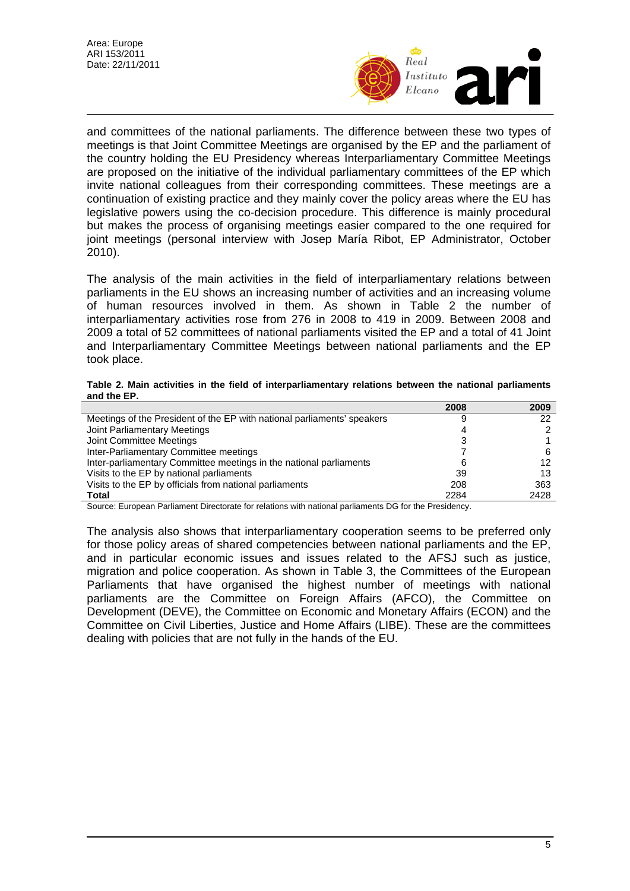

and committees of the national parliaments. The difference between these two types of meetings is that Joint Committee Meetings are organised by the EP and the parliament of the country holding the EU Presidency whereas Interparliamentary Committee Meetings are proposed on the initiative of the individual parliamentary committees of the EP which invite national colleagues from their corresponding committees. These meetings are a continuation of existing practice and they mainly cover the policy areas where the EU has legislative powers using the co-decision procedure. This difference is mainly procedural but makes the process of organising meetings easier compared to the one required for joint meetings (personal interview with Josep María Ribot, EP Administrator, October 2010).

The analysis of the main activities in the field of interparliamentary relations between parliaments in the EU shows an increasing number of activities and an increasing volume of human resources involved in them. As shown in Table 2 the number of interparliamentary activities rose from 276 in 2008 to 419 in 2009. Between 2008 and 2009 a total of 52 committees of national parliaments visited the EP and a total of 41 Joint and Interparliamentary Committee Meetings between national parliaments and the EP took place.

**Table 2. Main activities in the field of interparliamentary relations between the national parliaments and the EP.** 

|                                                                         | 2008 | 2009 |
|-------------------------------------------------------------------------|------|------|
| Meetings of the President of the EP with national parliaments' speakers | g    |      |
| Joint Parliamentary Meetings                                            |      |      |
| Joint Committee Meetings                                                |      |      |
| Inter-Parliamentary Committee meetings                                  |      |      |
| Inter-parliamentary Committee meetings in the national parliaments      | 6    | 12   |
| Visits to the EP by national parliaments                                | 39   | 13   |
| Visits to the EP by officials from national parliaments                 | 208  | 363  |
| <b>Total</b>                                                            | 2284 | 2428 |

Source: European Parliament Directorate for relations with national parliaments DG for the Presidency.

The analysis also shows that interparliamentary cooperation seems to be preferred only for those policy areas of shared competencies between national parliaments and the EP, and in particular economic issues and issues related to the AFSJ such as justice, migration and police cooperation. As shown in Table 3, the Committees of the European Parliaments that have organised the highest number of meetings with national parliaments are the Committee on Foreign Affairs (AFCO), the Committee on Development (DEVE), the Committee on Economic and Monetary Affairs (ECON) and the Committee on Civil Liberties, Justice and Home Affairs (LIBE). These are the committees dealing with policies that are not fully in the hands of the EU.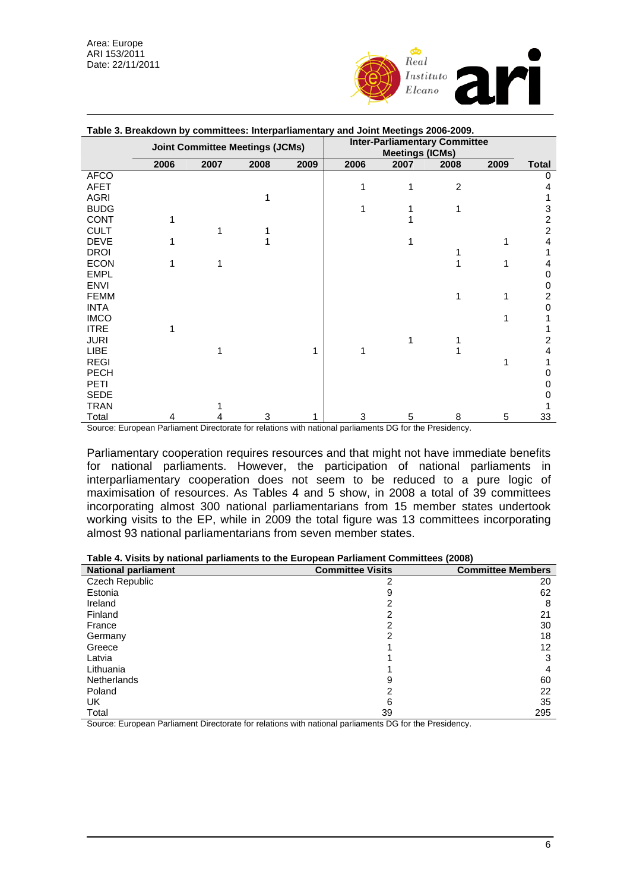

| Table 3. Breakdown by committees: Interparliamentary and Joint Meetings 2006-2009. |                                        |      |      |                                                                |      |      |                |      |              |
|------------------------------------------------------------------------------------|----------------------------------------|------|------|----------------------------------------------------------------|------|------|----------------|------|--------------|
|                                                                                    | <b>Joint Committee Meetings (JCMs)</b> |      |      | <b>Inter-Parliamentary Committee</b><br><b>Meetings (ICMs)</b> |      |      |                |      |              |
|                                                                                    | 2006                                   | 2007 | 2008 | 2009                                                           | 2006 | 2007 | 2008           | 2009 | <b>Total</b> |
| <b>AFCO</b>                                                                        |                                        |      |      |                                                                |      |      |                |      | 0            |
| AFET                                                                               |                                        |      |      |                                                                | 1    |      | $\overline{2}$ |      |              |
| <b>AGRI</b>                                                                        |                                        |      |      |                                                                |      |      |                |      |              |
| <b>BUDG</b>                                                                        |                                        |      |      |                                                                |      |      |                |      | 3            |
| <b>CONT</b>                                                                        |                                        |      |      |                                                                |      |      |                |      | 2            |
| <b>CULT</b>                                                                        |                                        |      |      |                                                                |      |      |                |      | 2            |
| <b>DEVE</b>                                                                        |                                        |      |      |                                                                |      |      |                |      | 4            |
| <b>DROI</b>                                                                        |                                        |      |      |                                                                |      |      |                |      |              |
| <b>ECON</b>                                                                        | 1                                      |      |      |                                                                |      |      |                |      | 4            |
| <b>EMPL</b>                                                                        |                                        |      |      |                                                                |      |      |                |      | 0            |
| <b>ENVI</b>                                                                        |                                        |      |      |                                                                |      |      |                |      | 0            |
| <b>FEMM</b>                                                                        |                                        |      |      |                                                                |      |      | 1              |      | 2            |
| <b>INTA</b>                                                                        |                                        |      |      |                                                                |      |      |                |      | 0            |
| <b>IMCO</b>                                                                        |                                        |      |      |                                                                |      |      |                |      |              |
| <b>ITRE</b>                                                                        |                                        |      |      |                                                                |      |      |                |      |              |
| <b>JURI</b>                                                                        |                                        |      |      |                                                                |      |      |                |      | 2            |
| LIBE                                                                               |                                        |      |      | 1                                                              |      |      |                |      | 4            |
| <b>REGI</b>                                                                        |                                        |      |      |                                                                |      |      |                |      |              |
| <b>PECH</b>                                                                        |                                        |      |      |                                                                |      |      |                |      | Ω            |
| PETI                                                                               |                                        |      |      |                                                                |      |      |                |      | 0            |
| <b>SEDE</b>                                                                        |                                        |      |      |                                                                |      |      |                |      | 0            |
| <b>TRAN</b>                                                                        |                                        |      |      |                                                                |      |      |                |      |              |
| Total                                                                              | 4                                      |      | 3    |                                                                | 3    | 5    | 8              | 5    | 33           |

**Table 3. Breakdown by committees: Interparliamentary and Joint Meetings 2006-2009.** 

Source: European Parliament Directorate for relations with national parliaments DG for the Presidency.

Parliamentary cooperation requires resources and that might not have immediate benefits for national parliaments. However, the participation of national parliaments in interparliamentary cooperation does not seem to be reduced to a pure logic of maximisation of resources. As Tables 4 and 5 show, in 2008 a total of 39 committees incorporating almost 300 national parliamentarians from 15 member states undertook working visits to the EP, while in 2009 the total figure was 13 committees incorporating almost 93 national parliamentarians from seven member states.

| Table 4. Visits by national parliaments to the European Parliament Committees (2008) |  |
|--------------------------------------------------------------------------------------|--|
|--------------------------------------------------------------------------------------|--|

| <b>National parliament</b> | <b>Committee Visits</b> | <b>Committee Members</b> |
|----------------------------|-------------------------|--------------------------|
| Czech Republic             | 2                       | 20                       |
| Estonia                    | 9                       | 62                       |
| Ireland                    |                         | 8                        |
| Finland                    |                         | 21                       |
| France                     |                         | 30                       |
| Germany                    |                         | 18                       |
| Greece                     |                         | 12                       |
| Latvia                     |                         | 3                        |
| Lithuania                  |                         | 4                        |
| <b>Netherlands</b>         |                         | 60                       |
| Poland                     |                         | 22                       |
| UK                         | 6                       | 35                       |
| Total                      | 39                      | 295                      |

Source: European Parliament Directorate for relations with national parliaments DG for the Presidency.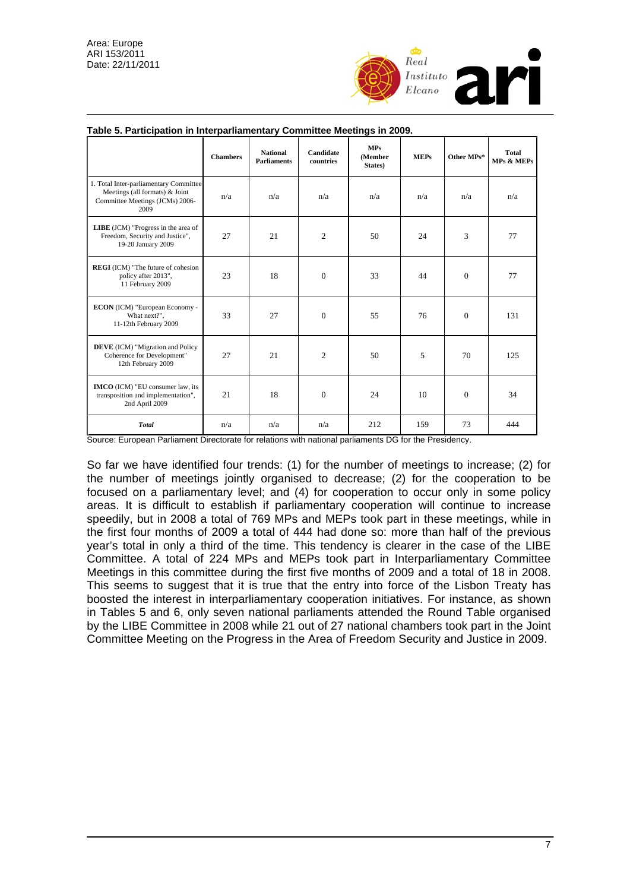

|                                                                                                                     | <b>Chambers</b> | <b>National</b><br><b>Parliaments</b> | Candidate<br>countries | <b>MPs</b><br>(Member<br>States) | <b>MEPs</b> | Other MPs* | Total<br>MPs & MEPs |
|---------------------------------------------------------------------------------------------------------------------|-----------------|---------------------------------------|------------------------|----------------------------------|-------------|------------|---------------------|
| 1. Total Inter-parliamentary Committee<br>Meetings (all formats) & Joint<br>Committee Meetings (JCMs) 2006-<br>2009 | n/a             | n/a                                   | n/a                    | n/a                              | n/a         | n/a        | n/a                 |
| <b>LIBE</b> (JCM) "Progress in the area of<br>Freedom, Security and Justice",<br>19-20 January 2009                 | 27              | 21                                    | $\overline{c}$         | 50                               | 24          | 3          | 77                  |
| <b>REGI</b> (ICM) "The future of cohesion<br>policy after 2013",<br>11 February 2009                                | 23              | 18                                    | $\Omega$               | 33                               | 44          | $\Omega$   | 77                  |
| ECON (ICM) "European Economy -<br>What next?",<br>11-12th February 2009                                             | 33              | 27                                    | $\Omega$               | 55                               | 76          | $\Omega$   | 131                 |
| <b>DEVE</b> (ICM) "Migration and Policy<br>Coherence for Development"<br>12th February 2009                         | 27              | 21                                    | 2                      | 50                               | 5           | 70         | 125                 |
| <b>IMCO</b> (ICM) "EU consumer law, its<br>transposition and implementation",<br>2nd April 2009                     | 21              | 18                                    | $\Omega$               | 24                               | 10          | $\Omega$   | 34                  |
| <b>Total</b>                                                                                                        | n/a             | n/a                                   | n/a                    | 212                              | 159         | 73         | 444                 |

#### **Table 5. Participation in Interparliamentary Committee Meetings in 2009.**

Source: European Parliament Directorate for relations with national parliaments DG for the Presidency.

So far we have identified four trends: (1) for the number of meetings to increase; (2) for the number of meetings jointly organised to decrease; (2) for the cooperation to be focused on a parliamentary level; and (4) for cooperation to occur only in some policy areas. It is difficult to establish if parliamentary cooperation will continue to increase speedily, but in 2008 a total of 769 MPs and MEPs took part in these meetings, while in the first four months of 2009 a total of 444 had done so: more than half of the previous year's total in only a third of the time. This tendency is clearer in the case of the LIBE Committee. A total of 224 MPs and MEPs took part in Interparliamentary Committee Meetings in this committee during the first five months of 2009 and a total of 18 in 2008. This seems to suggest that it is true that the entry into force of the Lisbon Treaty has boosted the interest in interparliamentary cooperation initiatives. For instance, as shown in Tables 5 and 6, only seven national parliaments attended the Round Table organised by the LIBE Committee in 2008 while 21 out of 27 national chambers took part in the Joint Committee Meeting on the Progress in the Area of Freedom Security and Justice in 2009.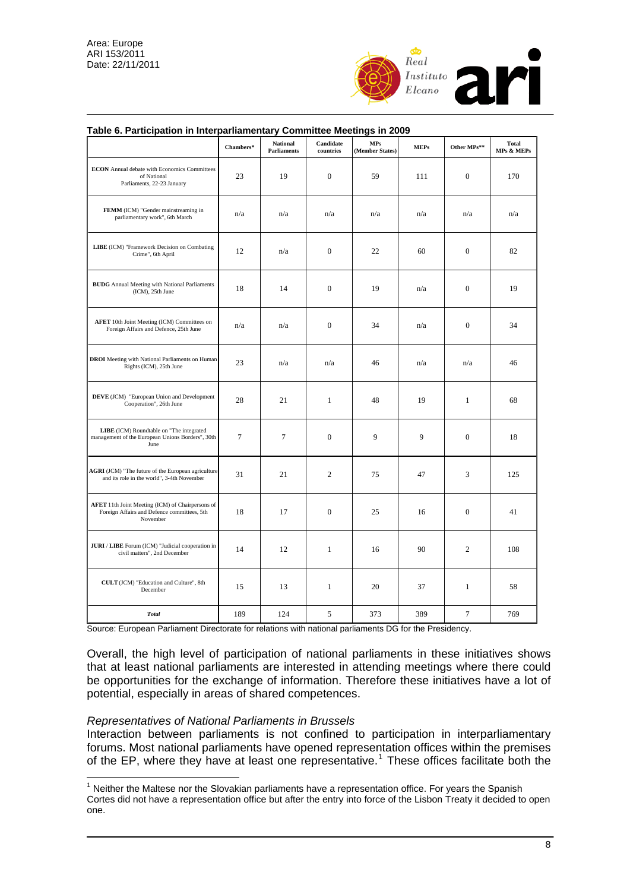

|                                                                                                             | Chambers* | <b>National</b><br><b>Parliaments</b> | Candidate<br>countries | <b>MPs</b><br>(Member States) | <b>MEPs</b> | Other MPs**      | <b>Total</b><br>MPs & MEPs |
|-------------------------------------------------------------------------------------------------------------|-----------|---------------------------------------|------------------------|-------------------------------|-------------|------------------|----------------------------|
| <b>ECON</b> Annual debate with Economics Committees<br>of National<br>Parliaments, 22-23 January            | 23        | 19                                    | $\boldsymbol{0}$       | 59                            | 111         | $\mathbf{0}$     | 170                        |
| FEMM (ICM) "Gender mainstreaming in<br>parliamentary work", 6th March                                       | n/a       | n/a                                   | n/a                    | n/a                           | n/a         | n/a              | n/a                        |
| LIBE (ICM) "Framework Decision on Combating<br>Crime", 6th April                                            | 12        | n/a                                   | $\mathbf{0}$           | 22                            | 60          | $\mathbf{0}$     | 82                         |
| <b>BUDG</b> Annual Meeting with National Parliaments<br>(ICM), 25th June                                    | 18        | 14                                    | $\boldsymbol{0}$       | 19                            | n/a         | $\boldsymbol{0}$ | 19                         |
| AFET 10th Joint Meeting (ICM) Committees on<br>Foreign Affairs and Defence, 25th June                       | n/a       | n/a                                   | $\boldsymbol{0}$       | 34                            | n/a         | $\mathbf{0}$     | 34                         |
| <b>DROI</b> Meeting with National Parliaments on Human<br>Rights (ICM), 25th June                           | 23        | n/a                                   | n/a                    | 46                            | n/a         | n/a              | 46                         |
| DEVE (JCM) "European Union and Development<br>Cooperation", 26th June                                       | 28        | 21                                    | $\mathbf{1}$           | 48                            | 19          | $\mathbf{1}$     | 68                         |
| LIBE (ICM) Roundtable on "The integrated<br>management of the European Unions Borders", 30th<br>June        | 7         | 7                                     | $\mathbf{0}$           | 9                             | 9           | $\mathbf{0}$     | 18                         |
| AGRI (JCM) "The future of the European agriculture<br>and its role in the world", 3-4th November            | 31        | 21                                    | $\overline{c}$         | 75                            | 47          | 3                | 125                        |
| AFET 11th Joint Meeting (ICM) of Chairpersons of<br>Foreign Affairs and Defence committees, 5th<br>November | 18        | 17                                    | $\mathbf{0}$           | 25                            | 16          | $\mathbf{0}$     | 41                         |
| JURI / LIBE Forum (ICM) "Judicial cooperation in<br>civil matters", 2nd December                            | 14        | 12                                    | $\mathbf{1}$           | 16                            | 90          | $\sqrt{2}$       | 108                        |
| CULT (JCM) "Education and Culture", 8th<br>December                                                         | 15        | 13                                    | $\mathbf{1}$           | 20                            | 37          | $\mathbf{1}$     | 58                         |
| <b>Total</b>                                                                                                | 189       | 124                                   | 5                      | 373                           | 389         | $\overline{7}$   | 769                        |

#### **Table 6. Participation in Interparliamentary Committee Meetings in 2009**

Source: European Parliament Directorate for relations with national parliaments DG for the Presidency.

Overall, the high level of participation of national parliaments in these initiatives shows that at least national parliaments are interested in attending meetings where there could be opportunities for the exchange of information. Therefore these initiatives have a lot of potential, especially in areas of shared competences.

### *Representatives of National Parliaments in Brussels*

 $\overline{a}$ 

Interaction between parliaments is not confined to participation in interparliamentary forums. Most national parliaments have opened representation offices within the premises of the EP, where they have at least one representative.<sup>[1](#page-7-0)</sup> These offices facilitate both the

<sup>&</sup>lt;sup>1</sup> Neither the Maltese nor the Slovakian parliaments have a representation office. For years the Spanish

<span id="page-7-0"></span>Cortes did not have a representation office but after the entry into force of the Lisbon Treaty it decided to open one.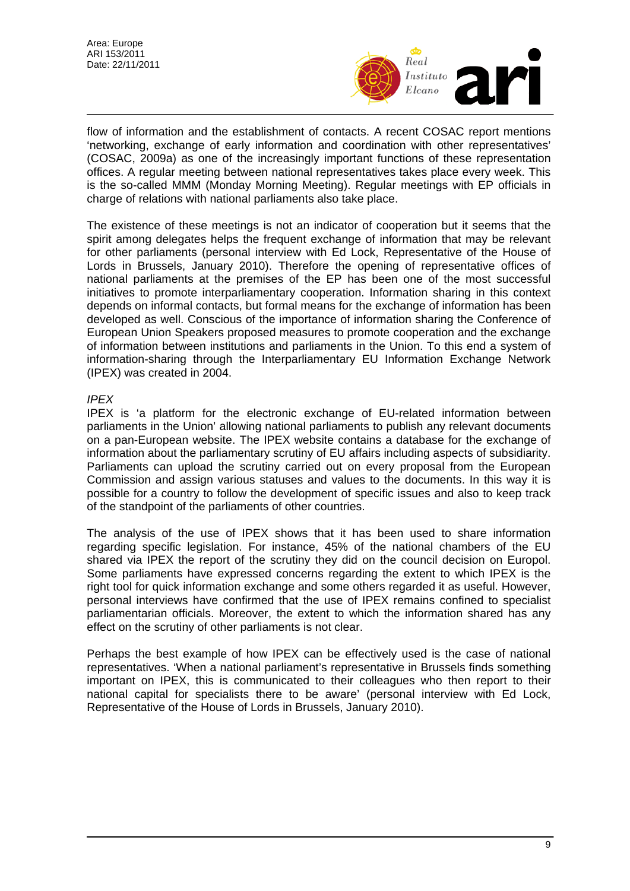Area: Europe ARI 153/2011 Date: 22/11/2011



flow of information and the establishment of contacts. A recent COSAC report mentions 'networking, exchange of early information and coordination with other representatives' (COSAC, 2009a) as one of the increasingly important functions of these representation offices. A regular meeting between national representatives takes place every week. This is the so-called MMM (Monday Morning Meeting). Regular meetings with EP officials in charge of relations with national parliaments also take place.

The existence of these meetings is not an indicator of cooperation but it seems that the spirit among delegates helps the frequent exchange of information that may be relevant for other parliaments (personal interview with Ed Lock, Representative of the House of Lords in Brussels, January 2010). Therefore the opening of representative offices of national parliaments at the premises of the EP has been one of the most successful initiatives to promote interparliamentary cooperation. Information sharing in this context depends on informal contacts, but formal means for the exchange of information has been developed as well. Conscious of the importance of information sharing the Conference of European Union Speakers proposed measures to promote cooperation and the exchange of information between institutions and parliaments in the Union. To this end a system of information-sharing through the Interparliamentary EU Information Exchange Network (IPEX) was created in 2004.

## *IPEX*

IPEX is 'a platform for the electronic exchange of EU-related information between parliaments in the Union' allowing national parliaments to publish any relevant documents on a pan-European website. The IPEX website contains a database for the exchange of information about the parliamentary scrutiny of EU affairs including aspects of subsidiarity. Parliaments can upload the scrutiny carried out on every proposal from the European Commission and assign various statuses and values to the documents. In this way it is possible for a country to follow the development of specific issues and also to keep track of the standpoint of the parliaments of other countries.

The analysis of the use of IPEX shows that it has been used to share information regarding specific legislation. For instance, 45% of the national chambers of the EU shared via IPEX the report of the scrutiny they did on the council decision on Europol. Some parliaments have expressed concerns regarding the extent to which IPEX is the right tool for quick information exchange and some others regarded it as useful. However, personal interviews have confirmed that the use of IPEX remains confined to specialist parliamentarian officials. Moreover, the extent to which the information shared has any effect on the scrutiny of other parliaments is not clear.

Perhaps the best example of how IPEX can be effectively used is the case of national representatives. 'When a national parliament's representative in Brussels finds something important on IPEX, this is communicated to their colleagues who then report to their national capital for specialists there to be aware' (personal interview with Ed Lock, Representative of the House of Lords in Brussels, January 2010).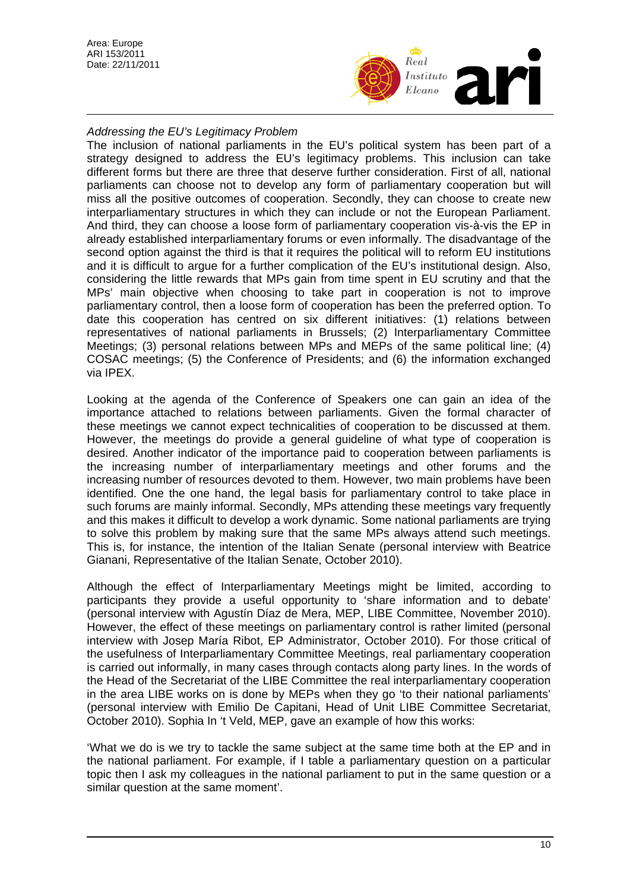Area: Europe ARI 153/2011 Date: 22/11/2011



## *Addressing the EU's Legitimacy Problem*

The inclusion of national parliaments in the EU's political system has been part of a strategy designed to address the EU's legitimacy problems. This inclusion can take different forms but there are three that deserve further consideration. First of all, national parliaments can choose not to develop any form of parliamentary cooperation but will miss all the positive outcomes of cooperation. Secondly, they can choose to create new interparliamentary structures in which they can include or not the European Parliament. And third, they can choose a loose form of parliamentary cooperation vis-à-vis the EP in already established interparliamentary forums or even informally. The disadvantage of the second option against the third is that it requires the political will to reform EU institutions and it is difficult to argue for a further complication of the EU's institutional design. Also, considering the little rewards that MPs gain from time spent in EU scrutiny and that the MPs' main objective when choosing to take part in cooperation is not to improve parliamentary control, then a loose form of cooperation has been the preferred option. To date this cooperation has centred on six different initiatives: (1) relations between representatives of national parliaments in Brussels; (2) Interparliamentary Committee Meetings; (3) personal relations between MPs and MEPs of the same political line; (4) COSAC meetings; (5) the Conference of Presidents; and (6) the information exchanged via IPEX.

Looking at the agenda of the Conference of Speakers one can gain an idea of the importance attached to relations between parliaments. Given the formal character of these meetings we cannot expect technicalities of cooperation to be discussed at them. However, the meetings do provide a general guideline of what type of cooperation is desired. Another indicator of the importance paid to cooperation between parliaments is the increasing number of interparliamentary meetings and other forums and the increasing number of resources devoted to them. However, two main problems have been identified. One the one hand, the legal basis for parliamentary control to take place in such forums are mainly informal. Secondly, MPs attending these meetings vary frequently and this makes it difficult to develop a work dynamic. Some national parliaments are trying to solve this problem by making sure that the same MPs always attend such meetings. This is, for instance, the intention of the Italian Senate (personal interview with Beatrice Gianani, Representative of the Italian Senate, October 2010).

Although the effect of Interparliamentary Meetings might be limited, according to participants they provide a useful opportunity to 'share information and to debate' (personal interview with Agustín Díaz de Mera, MEP, LIBE Committee, November 2010). However, the effect of these meetings on parliamentary control is rather limited (personal interview with Josep María Ribot, EP Administrator, October 2010). For those critical of the usefulness of Interparliamentary Committee Meetings, real parliamentary cooperation is carried out informally, in many cases through contacts along party lines. In the words of the Head of the Secretariat of the LIBE Committee the real interparliamentary cooperation in the area LIBE works on is done by MEPs when they go 'to their national parliaments' (personal interview with Emilio De Capitani, Head of Unit LIBE Committee Secretariat, October 2010). Sophia In 't Veld, MEP, gave an example of how this works:

'What we do is we try to tackle the same subject at the same time both at the EP and in the national parliament. For example, if I table a parliamentary question on a particular topic then I ask my colleagues in the national parliament to put in the same question or a similar question at the same moment'.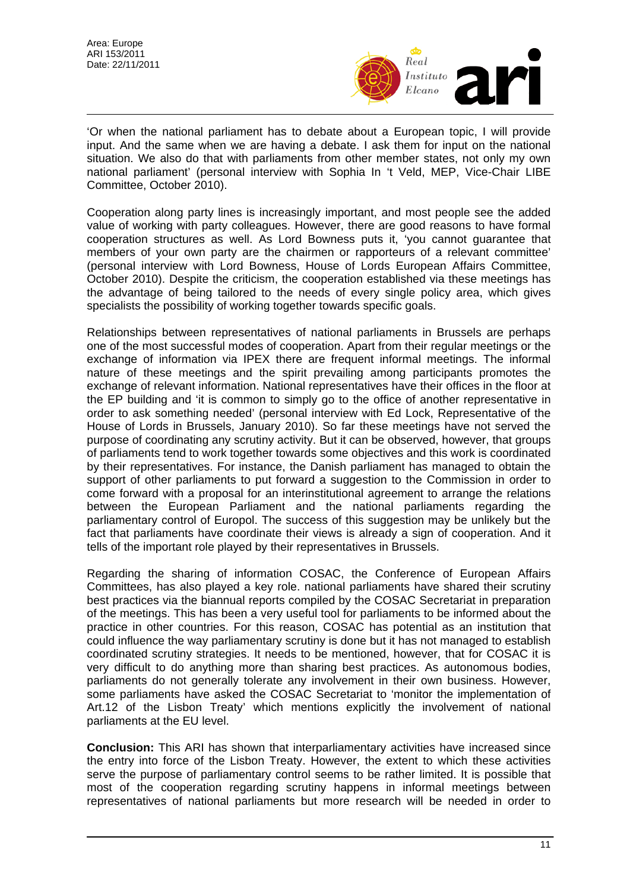

'Or when the national parliament has to debate about a European topic, I will provide input. And the same when we are having a debate. I ask them for input on the national situation. We also do that with parliaments from other member states, not only my own national parliament' (personal interview with Sophia In 't Veld, MEP, Vice-Chair LIBE Committee, October 2010).

Cooperation along party lines is increasingly important, and most people see the added value of working with party colleagues. However, there are good reasons to have formal cooperation structures as well. As Lord Bowness puts it, 'you cannot guarantee that members of your own party are the chairmen or rapporteurs of a relevant committee' (personal interview with Lord Bowness, House of Lords European Affairs Committee, October 2010). Despite the criticism, the cooperation established via these meetings has the advantage of being tailored to the needs of every single policy area, which gives specialists the possibility of working together towards specific goals.

Relationships between representatives of national parliaments in Brussels are perhaps one of the most successful modes of cooperation. Apart from their regular meetings or the exchange of information via IPEX there are frequent informal meetings. The informal nature of these meetings and the spirit prevailing among participants promotes the exchange of relevant information. National representatives have their offices in the floor at the EP building and 'it is common to simply go to the office of another representative in order to ask something needed' (personal interview with Ed Lock, Representative of the House of Lords in Brussels, January 2010). So far these meetings have not served the purpose of coordinating any scrutiny activity. But it can be observed, however, that groups of parliaments tend to work together towards some objectives and this work is coordinated by their representatives. For instance, the Danish parliament has managed to obtain the support of other parliaments to put forward a suggestion to the Commission in order to come forward with a proposal for an interinstitutional agreement to arrange the relations between the European Parliament and the national parliaments regarding the parliamentary control of Europol. The success of this suggestion may be unlikely but the fact that parliaments have coordinate their views is already a sign of cooperation. And it tells of the important role played by their representatives in Brussels.

Regarding the sharing of information COSAC, the Conference of European Affairs Committees, has also played a key role. national parliaments have shared their scrutiny best practices via the biannual reports compiled by the COSAC Secretariat in preparation of the meetings. This has been a very useful tool for parliaments to be informed about the practice in other countries. For this reason, COSAC has potential as an institution that could influence the way parliamentary scrutiny is done but it has not managed to establish coordinated scrutiny strategies. It needs to be mentioned, however, that for COSAC it is very difficult to do anything more than sharing best practices. As autonomous bodies, parliaments do not generally tolerate any involvement in their own business. However, some parliaments have asked the COSAC Secretariat to 'monitor the implementation of Art.12 of the Lisbon Treaty' which mentions explicitly the involvement of national parliaments at the EU level.

**Conclusion:** This ARI has shown that interparliamentary activities have increased since the entry into force of the Lisbon Treaty. However, the extent to which these activities serve the purpose of parliamentary control seems to be rather limited. It is possible that most of the cooperation regarding scrutiny happens in informal meetings between representatives of national parliaments but more research will be needed in order to